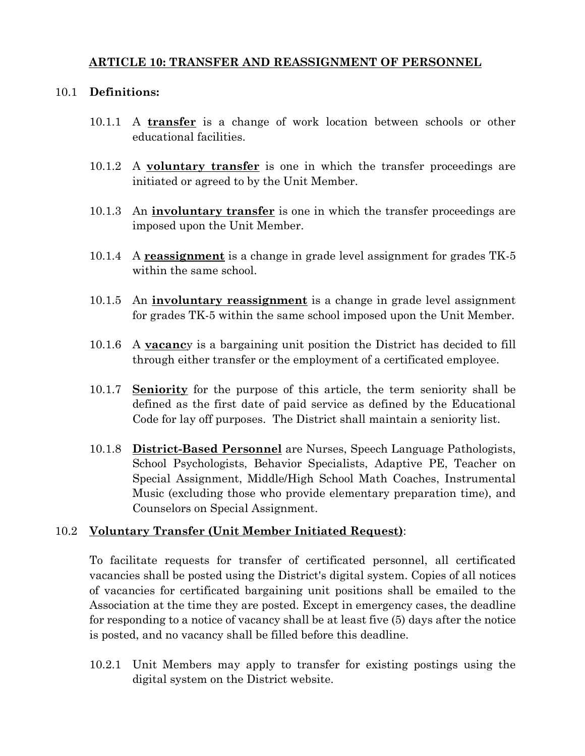## **ARTICLE 10: TRANSFER AND REASSIGNMENT OF PERSONNEL**

#### 10.1 Definitions:

- 10.1.1 A transfer is a change of work location between schools or other educational facilities.
- 10.1.2 A voluntary transfer is one in which the transfer proceedings are initiated or agreed to by the Unit Member.
- 10.1.3 An **involuntary transfer** is one in which the transfer proceedings are imposed upon the Unit Member.
- 10.1.4 A reassignment is a change in grade level assignment for grades TK-5 within the same school.
- 10.1.5 An **involuntary reassignment** is a change in grade level assignment for grades TK-5 within the same school imposed upon the Unit Member.
- 10.1.6 A **yacancy** is a bargaining unit position the District has decided to fill through either transfer or the employment of a certificated employee.
- 10.1.7 Seniority for the purpose of this article, the term seniority shall be defined as the first date of paid service as defined by the Educational Code for lay off purposes. The District shall maintain a seniority list.
- 10.1.8 District-Based Personnel are Nurses, Speech Language Pathologists, School Psychologists, Behavior Specialists, Adaptive PE, Teacher on Special Assignment, Middle/High School Math Coaches, Instrumental Music (excluding those who provide elementary preparation time), and Counselors on Special Assignment.

# 10.2 Voluntary Transfer (Unit Member Initiated Request):

To facilitate requests for transfer of certificated personnel, all certificated vacancies shall be posted using the District's digital system. Copies of all notices of vacancies for certificated bargaining unit positions shall be emailed to the Association at the time they are posted. Except in emergency cases, the deadline for responding to a notice of vacancy shall be at least five (5) days after the notice is posted, and no vacancy shall be filled before this deadline.

10.2.1 Unit Members may apply to transfer for existing postings using the digital system on the District website.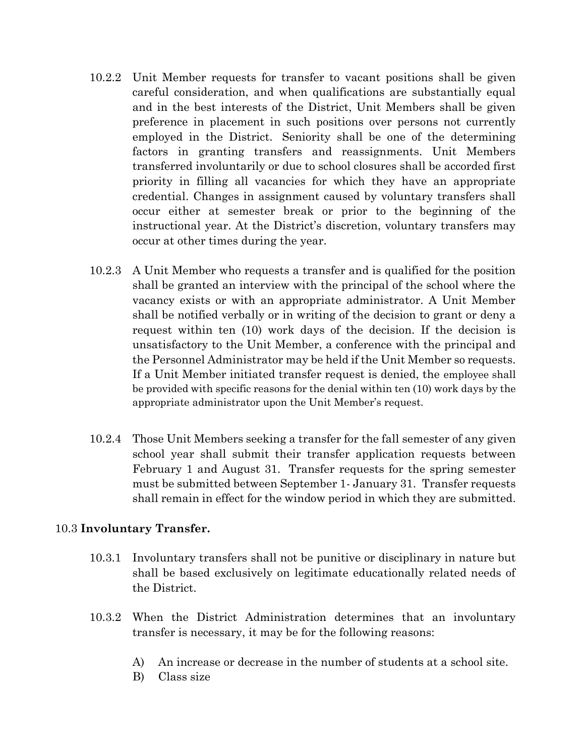- 10.2.2 Unit Member requests for transfer to vacant positions shall be given careful consideration, and when qualifications are substantially equal and in the best interests of the District, Unit Members shall be given preference in placement in such positions over persons not currently employed in the District. Seniority shall be one of the determining factors in granting transfers and reassignments. Unit Members transferred involuntarily or due to school closures shall be accorded first priority in filling all vacancies for which they have an appropriate credential. Changes in assignment caused by voluntary transfers shall occur either at semester break or prior to the beginning of the instructional year. At the District's discretion, voluntary transfers may occur at other times during the year.
- 10.2.3 A Unit Member who requests a transfer and is qualified for the position shall be granted an interview with the principal of the school where the vacancy exists or with an appropriate administrator. A Unit Member shall be notified verbally or in writing of the decision to grant or deny a request within ten (10) work days of the decision. If the decision is unsatisfactory to the Unit Member, a conference with the principal and the Personnel Administrator may be held if the Unit Member so requests. If a Unit Member initiated transfer request is denied, the employee shall be provided with specific reasons for the denial within ten (10) work days by the appropriate administrator upon the Unit Member's request.
- Those Unit Members seeking a transfer for the fall semester of any given 10.2.4 school year shall submit their transfer application requests between February 1 and August 31. Transfer requests for the spring semester must be submitted between September 1- January 31. Transfer requests shall remain in effect for the window period in which they are submitted.

#### 10.3 Involuntary Transfer.

- 10.3.1 Involuntary transfers shall not be punitive or disciplinary in nature but shall be based exclusively on legitimate educationally related needs of the District.
- 10.3.2 When the District Administration determines that an involuntary transfer is necessary, it may be for the following reasons:
	- An increase or decrease in the number of students at a school site. A)
	- $B)$ Class size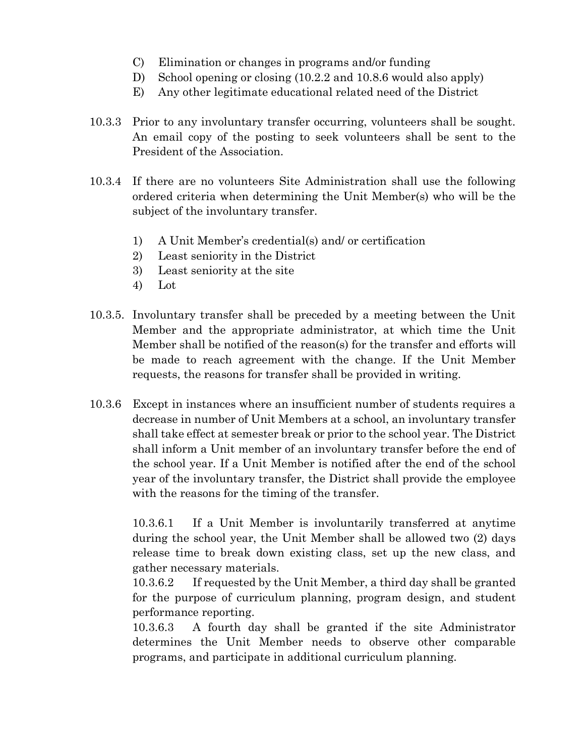- C) Elimination or changes in programs and/or funding
- D) School opening or closing (10.2.2 and 10.8.6 would also apply)
- E) Any other legitimate educational related need of the District
- 10.3.3 Prior to any involuntary transfer occurring, volunteers shall be sought. An email copy of the posting to seek volunteers shall be sent to the President of the Association.
- 10.3.4 If there are no volunteers Site Administration shall use the following ordered criteria when determining the Unit Member(s) who will be the subject of the involuntary transfer.
	- A Unit Member's credential(s) and/or certification  $1)$
	- 2) Least seniority in the District
	- 3) Least seniority at the site
	- 4) Lot
- 10.3.5. Involuntary transfer shall be preceded by a meeting between the Unit Member and the appropriate administrator, at which time the Unit Member shall be notified of the reason(s) for the transfer and efforts will be made to reach agreement with the change. If the Unit Member requests, the reasons for transfer shall be provided in writing.
- 10.3.6 Except in instances where an insufficient number of students requires a decrease in number of Unit Members at a school, an involuntary transfer shall take effect at semester break or prior to the school year. The District shall inform a Unit member of an involuntary transfer before the end of the school year. If a Unit Member is notified after the end of the school year of the involuntary transfer, the District shall provide the employee with the reasons for the timing of the transfer.

If a Unit Member is involuntarily transferred at anytime  $10.3.6.1$ during the school year, the Unit Member shall be allowed two (2) days release time to break down existing class, set up the new class, and gather necessary materials.

If requested by the Unit Member, a third day shall be granted  $10.3.6.2$ for the purpose of curriculum planning, program design, and student performance reporting.

A fourth day shall be granted if the site Administrator 10.3.6.3 determines the Unit Member needs to observe other comparable programs, and participate in additional curriculum planning.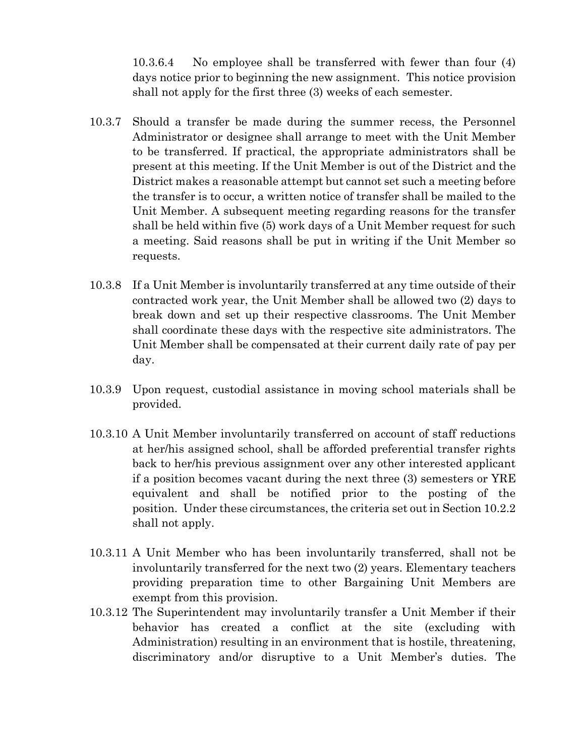10.3.6.4 No employee shall be transferred with fewer than four (4) days notice prior to beginning the new assignment. This notice provision shall not apply for the first three (3) weeks of each semester.

- Should a transfer be made during the summer recess, the Personnel  $10.3.7$ Administrator or designee shall arrange to meet with the Unit Member to be transferred. If practical, the appropriate administrators shall be present at this meeting. If the Unit Member is out of the District and the District makes a reasonable attempt but cannot set such a meeting before the transfer is to occur, a written notice of transfer shall be mailed to the Unit Member. A subsequent meeting regarding reasons for the transfer shall be held within five (5) work days of a Unit Member request for such a meeting. Said reasons shall be put in writing if the Unit Member so requests.
- 10.3.8 If a Unit Member is involuntarily transferred at any time outside of their contracted work year, the Unit Member shall be allowed two (2) days to break down and set up their respective classrooms. The Unit Member shall coordinate these days with the respective site administrators. The Unit Member shall be compensated at their current daily rate of pay per day.
- 10.3.9 Upon request, custodial assistance in moving school materials shall be provided.
- 10.3.10 A Unit Member involuntarily transferred on account of staff reductions at her/his assigned school, shall be afforded preferential transfer rights back to her/his previous assignment over any other interested applicant if a position becomes vacant during the next three (3) semesters or YRE equivalent and shall be notified prior to the posting of the position. Under these circumstances, the criteria set out in Section 10.2.2 shall not apply.
- 10.3.11 A Unit Member who has been involuntarily transferred, shall not be involuntarily transferred for the next two (2) years. Elementary teachers providing preparation time to other Bargaining Unit Members are exempt from this provision.
- 10.3.12 The Superintendent may involuntarily transfer a Unit Member if their behavior has created a conflict at the site (excluding with Administration) resulting in an environment that is hostile, threatening, discriminatory and/or disruptive to a Unit Member's duties. The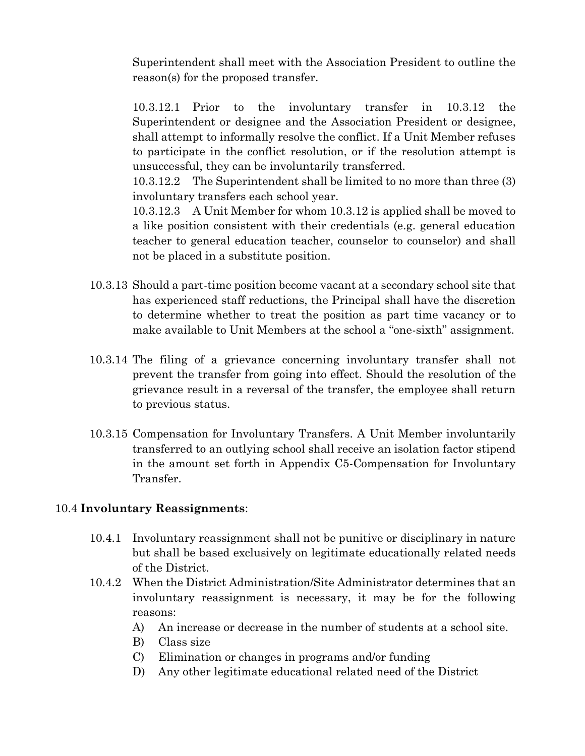Superintendent shall meet with the Association President to outline the reason(s) for the proposed transfer.

10.3.12.1 Prior  $\mathbf{t}$ the involuntary transfer in 10.3.12 the Superintendent or designee and the Association President or designee, shall attempt to informally resolve the conflict. If a Unit Member refuses to participate in the conflict resolution, or if the resolution attempt is unsuccessful, they can be involuntarily transferred.

10.3.12.2 The Superintendent shall be limited to no more than three (3) involuntary transfers each school year.

10.3.12.3 A Unit Member for whom 10.3.12 is applied shall be moved to a like position consistent with their credentials (e.g. general education teacher to general education teacher, counselor to counselor) and shall not be placed in a substitute position.

- 10.3.13 Should a part-time position become vacant at a secondary school site that has experienced staff reductions, the Principal shall have the discretion to determine whether to treat the position as part time vacancy or to make available to Unit Members at the school a "one-sixth" assignment.
- 10.3.14 The filing of a grievance concerning involuntary transfer shall not prevent the transfer from going into effect. Should the resolution of the grievance result in a reversal of the transfer, the employee shall return to previous status.
- 10.3.15 Compensation for Involuntary Transfers. A Unit Member involuntarily transferred to an outlying school shall receive an isolation factor stipend in the amount set forth in Appendix C5-Compensation for Involuntary Transfer.

# 10.4 Involuntary Reassignments:

- 10.4.1 Involuntary reassignment shall not be punitive or disciplinary in nature but shall be based exclusively on legitimate educationally related needs of the District.
- 10.4.2 When the District Administration/Site Administrator determines that an involuntary reassignment is necessary, it may be for the following reasons:
	- An increase or decrease in the number of students at a school site. A)
	- B) Class size
	- $\mathcal{C}$ ) Elimination or changes in programs and/or funding
	- D) Any other legitimate educational related need of the District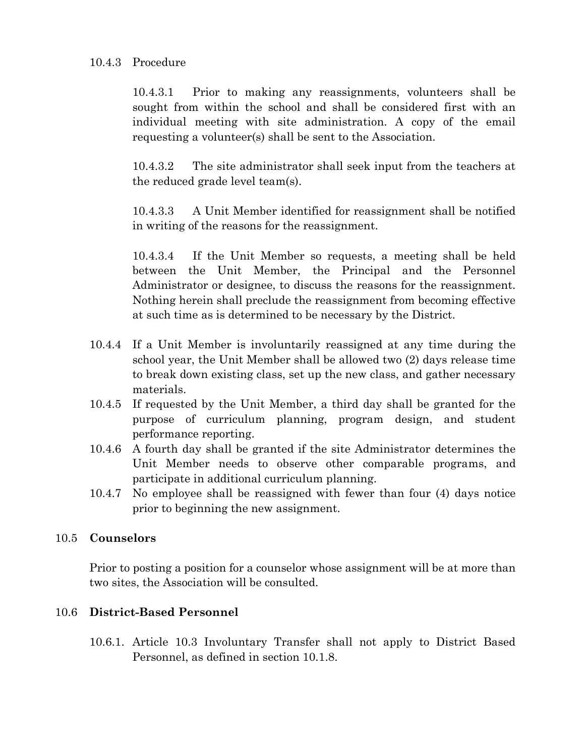## 10.4.3 Procedure

Prior to making any reassignments, volunteers shall be  $10.4.3.1$ sought from within the school and shall be considered first with an individual meeting with site administration. A copy of the email requesting a volunteer(s) shall be sent to the Association.

10.4.3.2 The site administrator shall seek input from the teachers at the reduced grade level team(s).

 $10.4.3.3$ A Unit Member identified for reassignment shall be notified in writing of the reasons for the reassignment.

10.4.3.4 If the Unit Member so requests, a meeting shall be held between the Unit Member, the Principal and the Personnel Administrator or designee, to discuss the reasons for the reassignment. Nothing herein shall preclude the reassignment from becoming effective at such time as is determined to be necessary by the District.

- 10.4.4 If a Unit Member is involuntarily reassigned at any time during the school year, the Unit Member shall be allowed two (2) days release time to break down existing class, set up the new class, and gather necessary materials.
- 10.4.5 If requested by the Unit Member, a third day shall be granted for the purpose of curriculum planning, program design, and student performance reporting.
- 10.4.6 A fourth day shall be granted if the site Administrator determines the Unit Member needs to observe other comparable programs, and participate in additional curriculum planning.
- No employee shall be reassigned with fewer than four (4) days notice 10.4.7 prior to beginning the new assignment.

# 10.5 Counselors

Prior to posting a position for a counselor whose assignment will be at more than two sites, the Association will be consulted.

# 10.6 District-Based Personnel

10.6.1. Article 10.3 Involuntary Transfer shall not apply to District Based Personnel, as defined in section 10.1.8.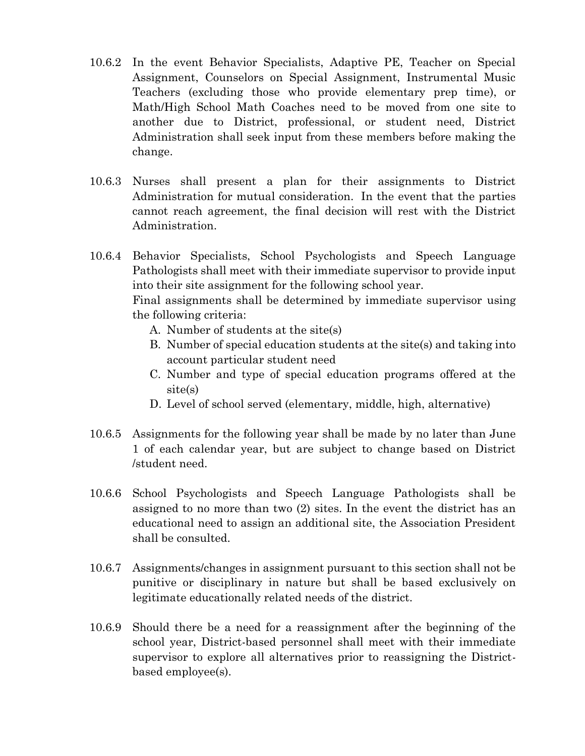- 10.6.2 In the event Behavior Specialists, Adaptive PE, Teacher on Special Assignment, Counselors on Special Assignment, Instrumental Music Teachers (excluding those who provide elementary prep time), or Math/High School Math Coaches need to be moved from one site to another due to District, professional, or student need, District Administration shall seek input from these members before making the change.
- 10.6.3 Nurses shall present a plan for their assignments to District Administration for mutual consideration. In the event that the parties cannot reach agreement, the final decision will rest with the District Administration.
- 10.6.4 Behavior Specialists, School Psychologists and Speech Language Pathologists shall meet with their immediate supervisor to provide input into their site assignment for the following school year.

Final assignments shall be determined by immediate supervisor using the following criteria:

- A. Number of students at the site(s)
- B. Number of special education students at the site(s) and taking into account particular student need
- C. Number and type of special education programs offered at the  $site(s)$
- D. Level of school served (elementary, middle, high, alternative)
- 10.6.5 Assignments for the following year shall be made by no later than June 1 of each calendar year, but are subject to change based on District /student need.
- 10.6.6 School Psychologists and Speech Language Pathologists shall be assigned to no more than two (2) sites. In the event the district has an educational need to assign an additional site, the Association President shall be consulted.
- 10.6.7 Assignments/changes in assignment pursuant to this section shall not be punitive or disciplinary in nature but shall be based exclusively on legitimate educationally related needs of the district.
- 10.6.9 Should there be a need for a reassignment after the beginning of the school year, District-based personnel shall meet with their immediate supervisor to explore all alternatives prior to reassigning the Districtbased employee(s).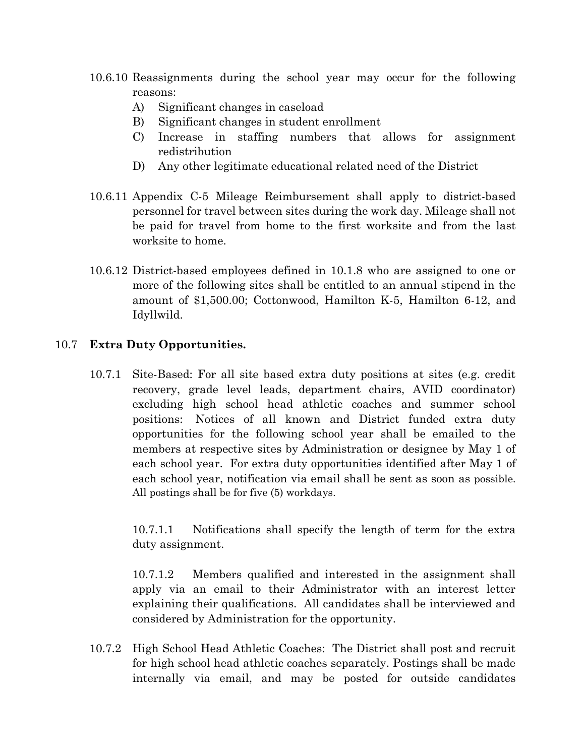- 10.6.10 Reassignments during the school year may occur for the following reasons:
	- A) Significant changes in caseload
	- Significant changes in student enrollment B)
	- Increase in staffing numbers that allows for assignment C) redistribution
	- Any other legitimate educational related need of the District D)
- 10.6.11 Appendix C-5 Mileage Reimbursement shall apply to district-based personnel for travel between sites during the work day. Mileage shall not be paid for travel from home to the first worksite and from the last worksite to home.
- 10.6.12 District-based employees defined in 10.1.8 who are assigned to one or more of the following sites shall be entitled to an annual stipend in the amount of \$1,500.00; Cottonwood, Hamilton K-5, Hamilton 6-12, and Idyllwild.

#### 10.7 Extra Duty Opportunities.

10.7.1 Site-Based: For all site based extra duty positions at sites (e.g. credit recovery, grade level leads, department chairs, AVID coordinator) excluding high school head athletic coaches and summer school positions: Notices of all known and District funded extra duty opportunities for the following school year shall be emailed to the members at respective sites by Administration or designee by May 1 of each school year. For extra duty opportunities identified after May 1 of each school vear, notification via email shall be sent as soon as possible. All postings shall be for five (5) workdays.

 $10.7.1.1$ Notifications shall specify the length of term for the extra duty assignment.

 $10.7.1.2$ Members qualified and interested in the assignment shall apply via an email to their Administrator with an interest letter explaining their qualifications. All candidates shall be interviewed and considered by Administration for the opportunity.

10.7.2 High School Head Athletic Coaches: The District shall post and recruit for high school head athletic coaches separately. Postings shall be made internally via email, and may be posted for outside candidates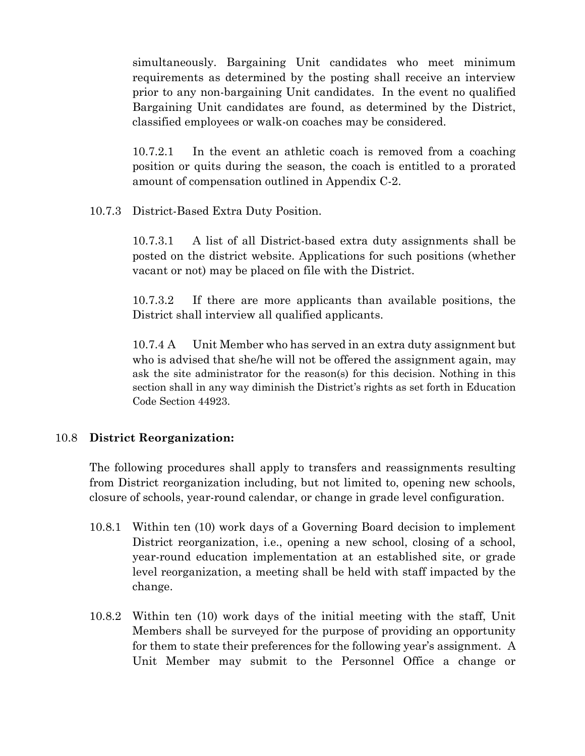simultaneously. Bargaining Unit candidates who meet minimum requirements as determined by the posting shall receive an interview prior to any non-bargaining Unit candidates. In the event no qualified Bargaining Unit candidates are found, as determined by the District, classified employees or walk-on coaches may be considered.

 $10.7.2.1$ In the event an athletic coach is removed from a coaching position or quits during the season, the coach is entitled to a prorated amount of compensation outlined in Appendix C-2.

10.7.3 District-Based Extra Duty Position.

A list of all District-based extra duty assignments shall be  $10.7.3.1$ posted on the district website. Applications for such positions (whether vacant or not) may be placed on file with the District.

 $10.7.3.2$ If there are more applicants than available positions, the District shall interview all qualified applicants.

 $10.7.4 A$ Unit Member who has served in an extra duty assignment but who is advised that she/he will not be offered the assignment again, may ask the site administrator for the reason(s) for this decision. Nothing in this section shall in any way diminish the District's rights as set forth in Education Code Section 44923

# 10.8 District Reorganization:

The following procedures shall apply to transfers and reassignments resulting from District reorganization including, but not limited to, opening new schools, closure of schools, year-round calendar, or change in grade level configuration.

- 10.8.1 Within ten (10) work days of a Governing Board decision to implement District reorganization, i.e., opening a new school, closing of a school, year-round education implementation at an established site, or grade level reorganization, a meeting shall be held with staff impacted by the change.
- 10.8.2 Within ten (10) work days of the initial meeting with the staff, Unit Members shall be surveyed for the purpose of providing an opportunity for them to state their preferences for the following year's assignment. A Unit Member may submit to the Personnel Office a change or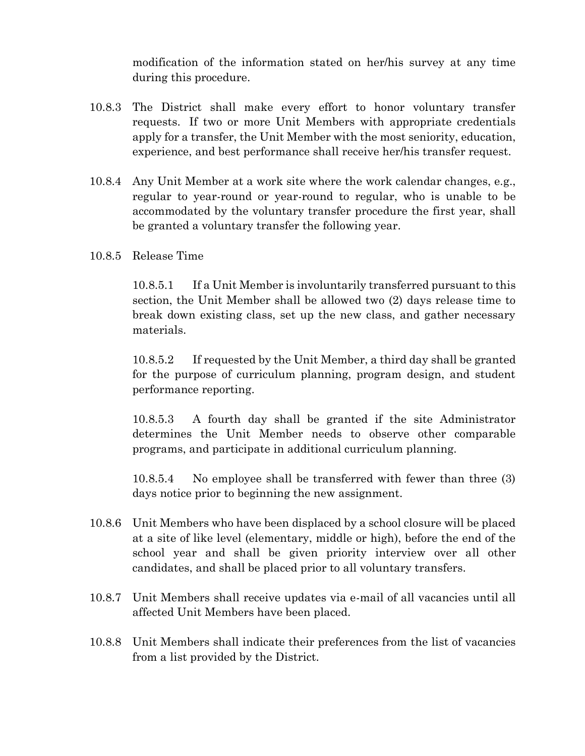modification of the information stated on her/his survey at any time during this procedure.

- 10.8.3 The District shall make every effort to honor voluntary transfer requests. If two or more Unit Members with appropriate credentials apply for a transfer, the Unit Member with the most seniority, education, experience, and best performance shall receive her/his transfer request.
- 10.8.4 Any Unit Member at a work site where the work calendar changes, e.g., regular to year-round or year-round to regular, who is unable to be accommodated by the voluntary transfer procedure the first year, shall be granted a voluntary transfer the following year.
- 10.8.5 Release Time

 $10.8.5.1$ If a Unit Member is involuntarily transferred pursuant to this section, the Unit Member shall be allowed two (2) days release time to break down existing class, set up the new class, and gather necessary materials.

 $10.8.5.2$ If requested by the Unit Member, a third day shall be granted for the purpose of curriculum planning, program design, and student performance reporting.

 $10.8.5.3$ A fourth day shall be granted if the site Administrator determines the Unit Member needs to observe other comparable programs, and participate in additional curriculum planning.

No employee shall be transferred with fewer than three (3) 10.8.5.4 days notice prior to beginning the new assignment.

- 10.8.6 Unit Members who have been displaced by a school closure will be placed at a site of like level (elementary, middle or high), before the end of the school year and shall be given priority interview over all other candidates, and shall be placed prior to all voluntary transfers.
- 10.8.7 Unit Members shall receive updates via e-mail of all vacancies until all affected Unit Members have been placed.
- 10.8.8 Unit Members shall indicate their preferences from the list of vacancies from a list provided by the District.